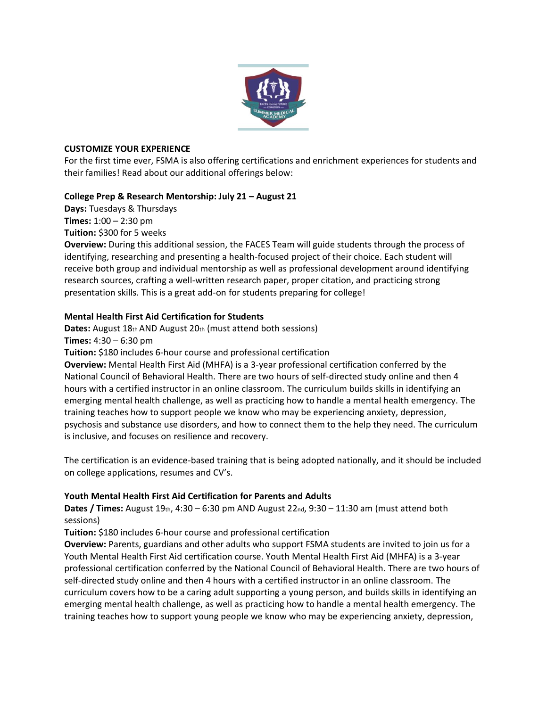

## **CUSTOMIZE YOUR EXPERIENCE**

For the first time ever, FSMA is also offering certifications and enrichment experiences for students and their families! Read about our additional offerings below:

## **College Prep & Research Mentorship: July 21 – August 21**

**Days:** Tuesdays & Thursdays **Times:** 1:00 – 2:30 pm

**Tuition:** \$300 for 5 weeks

**Overview:** During this additional session, the FACES Team will guide students through the process of identifying, researching and presenting a health-focused project of their choice. Each student will receive both group and individual mentorship as well as professional development around identifying research sources, crafting a well-written research paper, proper citation, and practicing strong presentation skills. This is a great add-on for students preparing for college!

## **Mental Health First Aid Certification for Students**

**Dates:** August 18th AND August 20th (must attend both sessions)

**Times:** 4:30 – 6:30 pm

**Tuition:** \$180 includes 6-hour course and professional certification

**Overview:** Mental Health First Aid (MHFA) is a 3-year professional certification conferred by the National Council of Behavioral Health. There are two hours of self-directed study online and then 4 hours with a certified instructor in an online classroom. The curriculum builds skills in identifying an emerging mental health challenge, as well as practicing how to handle a mental health emergency. The training teaches how to support people we know who may be experiencing anxiety, depression, psychosis and substance use disorders, and how to connect them to the help they need. The curriculum is inclusive, and focuses on resilience and recovery.

The certification is an evidence-based training that is being adopted nationally, and it should be included on college applications, resumes and CV's.

## **Youth Mental Health First Aid Certification for Parents and Adults**

**Dates / Times:** August 19th, 4:30 – 6:30 pm AND August 22nd, 9:30 – 11:30 am (must attend both sessions)

**Tuition:** \$180 includes 6-hour course and professional certification

**Overview:** Parents, guardians and other adults who support FSMA students are invited to join us for a Youth Mental Health First Aid certification course. Youth Mental Health First Aid (MHFA) is a 3-year professional certification conferred by the National Council of Behavioral Health. There are two hours of self-directed study online and then 4 hours with a certified instructor in an online classroom. The curriculum covers how to be a caring adult supporting a young person, and builds skills in identifying an emerging mental health challenge, as well as practicing how to handle a mental health emergency. The training teaches how to support young people we know who may be experiencing anxiety, depression,